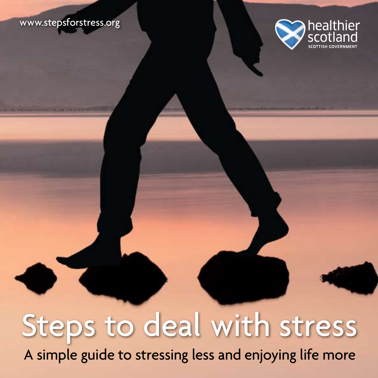#### www.stepsforstress.org



# Steps to deal with stress

A simple guide to stressing less and enjoying life more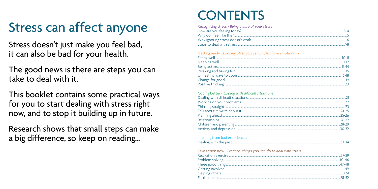## Stress can affect anyone

Stress doesn't just make you feel bad, it can also be bad for your health.

The good news is there are steps you can take to deal with it

This booklet contains some practical ways for you to start dealing with stress right now, and to stop it building up in future.

Research shows that small steps can make a big difference, so keep on reading...

### **CONTENTS**

| Recognising stress - Being aware of your stress |  |
|-------------------------------------------------|--|
|                                                 |  |
|                                                 |  |
|                                                 |  |
|                                                 |  |

#### Getting ready - Looking after yourself physically & emotionally

#### Coping better - Coping with difficult situations

### Learning from bad experiences

|--|--|

| Take action now - Practical things you can do to deal with stress |  |
|-------------------------------------------------------------------|--|
|                                                                   |  |
|                                                                   |  |
|                                                                   |  |
|                                                                   |  |
|                                                                   |  |
|                                                                   |  |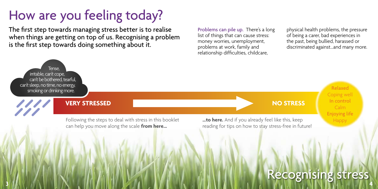## How are you feeling today?

The first step towards managing stress better is to realise when things are getting on top of us. Recognising a problem is the first step towards doing something about it.

Problems can pile up. There's a long list of things that can cause stress: money worries, unemployment, problems at work, family and relationship difficulties, childcare,

physical health problems, the pressure of being a carer, bad experiences in the past, being bullied, harassed or discriminated against...and many more.

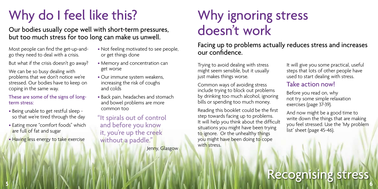## Why do I feel like this?

Our bodies usually cope well with short-term pressures, but too much stress for too long can make us unwell.

Most people can find the get-up-andgo they need to deal with a crisis.

But what if the crisis doesn't go away?

We can be so busy dealing with problems that we don't notice we're stressed. Our bodies have to keep on coping in the same way.

These are some of the signs of longterm stress:

- Being unable to get restful sleep so that we're tired through the day
- Eating more "comfort foods" which are full of fat and sugar
- Having less energy to take exercise
- Not feeling motivated to see people, or get things done
- Memory and concentration can get worse
- Our immune system weakens, increasing the risk of coughs and colds
- Back pain, headaches and stomach and bowel problems are more common too
- "It spirals out of control and before you know it, you're up the creek without a paddle." Jenny, Glasgow

### Why ignoring stress doesn't work

Facing up to problems actually reduces stress and increases our confidence.

Trying to avoid dealing with stress might seem sensible, but it usually just makes things worse.

Common ways of avoiding stress include trying to block out problems by drinking too much alcohol, ignoring bills or spending too much money.

Reading this booklet could be the first step towards facing up to problems. It will help you think about the difficult situations you might have been trying to ignore. Or the unhealthy things you might have been doing to cope with stress.

It will give you some practical, useful steps that lots of other people have used to start dealing with stress.

### Take action now!

Before you read on, why not try some simple relaxation exercises (page 37-39).

And now might be a good time to write down the things that are making you feel stressed. Use the 'My problem list' sheet (page 45-46).

### Recognising stress **5 6**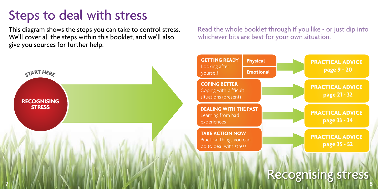### Steps to deal with stress

This diagram shows the steps you can take to control stress. We'll cover all the steps within this booklet, and we'll also give you sources for further help.

Read the whole booklet through if you like - or just dip into whichever bits are best for your own situation.

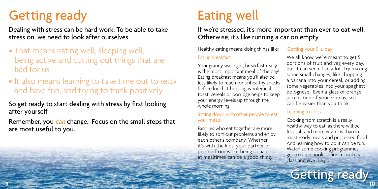## Getting ready **Eating well**

Dealing with stress can be hard work. To be able to take stress on, we need to look after ourselves.

- That means eating well, sleeping well, being active and cutting out things that are bad for us
- It also means learning to take time out to relax and have fun, and trying to think positively
- So get ready to start dealing with stress by first looking after yourself.
- Remember, you can change. Focus on the small steps that are most useful to you.

If we're stressed, it's more important than ever to eat well. Otherwise, it's like running a car on empty.

Healthy eating means doing things like:

#### Eating breakfast

Your granny was right, breakfast really is the most important meal of the day! Eating breakfast means you'll also be less likely to reach for unhealthy snacks before lunch. Choosing wholemeal toast, cereals or porridge helps to keep your energy levels up through the whole morning.

#### Sitting down with other people to eat your meals

Families who eat together are more likely to sort out problems and enjoy each other's company. Whether it's with the kids, your partner or people from work, being sociable at mealtimes can be a good thing.

#### Getting your 5-a-day

We all know we're meant to get 5 portions of fruit and veg every day, but it can seem like a lot. Try making some small changes, like chopping a banana into your cereal, or adding some vegetables into your spaghetti bolognese. Even a glass of orange juice is one of your 5-a-day, so it can be easier than you think.

#### Learning to cook

Cooking from scratch is a really healthy way to eat, as there will be less salt and more vitamins than in most ready meals and processed food. And learning how to do it can be fun. Watch some cooking programmes, get a recipe book or find a cookery class and give it a go.

Getting ready **<sup>9</sup> <sup>10</sup>**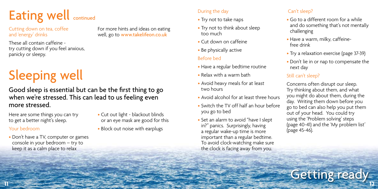

Cutting down on tea, coffee and 'energy' drinks

For more hints and ideas on eating well, go to www.takelifeon.co.uk

These all contain caffeine try cutting down if you feel anxious, panicky or sleepy.

## Sleeping well

Good sleep is essential but can be the first thing to go when we're stressed. This can lead to us feeling even more stressed.

Here are some things you can try to get a better night's sleep.

#### Your bedroom

- Don't have a TV, computer or games console in your bedroom – try to keep it as a calm place to relax
- Cut out light blackout blinds or an eye mask are good for this
- Block out noise with earplugs

#### During the day

- Try not to take naps
- Try not to think about sleep too much
- Cut down on caffeine
- Be physically active

#### Before bed

- Have a regular bedtime routine
- Relax with a warm bath
- Avoid heavy meals for at least two hours
- Avoid alcohol for at least three hours
- Switch the TV off half an hour before you go to bed
- Set an alarm to avoid "have I slept in?" panics. Surprisingly, having a regular wake-up time is more important than a regular bedtime. To avoid clock-watching make sure the clock is facing away from you.

#### Can't sleep?

- Go to a different room for a while and do something that's not mentally challenging
- Have a warm, milky, caffeinefree drink
- Try a relaxation exercise (page 37-39)
- Don't lie in or nap to compensate the next day

#### Still can't sleep?

Concerns often disrupt our sleep. Try thinking about them, and what you might do about them, during the day. Writing them down before you go to bed can also help you put them out of your head. You could try using the 'Problem solving' steps (page 40-41) and the 'My problem list' (page 45-46).

**Getting ready**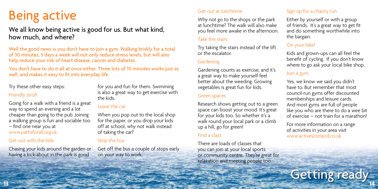### Being active

### We all know being active is good for us. But what kind, how much, and where?

Well the good news is you don't have to join a gym. Walking briskly for a total of 30 minutes, 5 days a week will not only reduce stress levels, but will also help reduce your risk of heart disease, cancer and diabetes.

You don't have to do it all at once either. Three lots of 10 minutes works just as well, and makes it easy to fit into everyday life.

#### Try these other easy steps:

#### Friendly stroll

Going for a walk with a friend is a great way to spend an evening and a lot cheaper than going to the pub. Joining a walking group is fun and sociable too – find one near you at www.pathsforall.org.uk

#### Get out with the kids

Chasing your kids around the garden or having a kick-about in the park is good

for you and fun for them. Swimming is also a great way to get exercise with the kids.

#### Leave the car

When you pop out to the local shop for the paper, or you drop your kids off at school, why not walk instead of taking the car?

#### Stop the bus

Get off the bus a couple of stops early on your way to work.

#### Get out at lunchtime

Why not go to the shops or the park at lunchtime? The walk will also make you feel more awake in the afternoon.

#### Take the stairs

Try taking the stairs instead of the lift or the escalator.

#### Gardening

Gardening counts as exercise, and it's a great way to make yourself feel better about the weeding. Growing vegetables is great fun for kids.

#### Green spaces

Research shows getting out to a green space can boost your mood. It's great for your kids too. So whether it's a walk round your local park or a climb up a hill, go for green!

#### Find a class

There are loads of classes that you can join at your local sports or community centre. They're great for relaxation and meeting people too.

#### Sign up for a charity run

Either by yourself or with a group of friends. It's a great way to get fit and do something worthwhile into the bargain.

#### On your bike!

Kids and grown-ups can all feel the benefit of cycling. If you don't know where to go ask your local bike shop.

#### Join a gym

Yes, we know we said you didn't have to. But remember that most council-run gyms offer discounted memberships and leisure cards. And most gyms are full of people like you who are there to do a wee bit of exercise – not train for a marathon!

For more information on a range of activities in your area visit www.activescotland.co.uk

Getting ready **<sup>13</sup> <sup>14</sup>**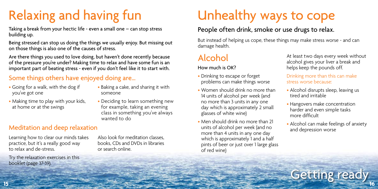## Relaxing and having fun

Taking a break from your hectic life - even a small one – can stop stress building up.

Being stressed can stop us doing the things we usually enjoy. But missing out on those things is also one of the causes of stress.

Are there things you used to love doing, but haven't done recently because of the pressure you're under? Making time to relax and have some fun is an important part of beating stress - even if you don't feel like it to start with.

### Some things others have enjoyed doing are…

- Going for a walk, with the dog if you've got one
- Baking a cake, and sharing it with someone

• Deciding to learn something new for example, taking an evening class in something you've always

- Making time to play with your kids, at home or at the swings
- Meditation and deep relaxation

Learning how to clear our minds takes practice, but it's a really good way to relax and de-stress.

Try the relaxation exercises in this booklet (page 37-39).

Also look for meditation classes, books, CDs and DVDs in libraries or search online.

wanted to do

## Unhealthy ways to cope

### People often drink, smoke or use drugs to relax.

But instead of helping us cope, these things may make stress worse - and can damage health.

### Alcohol

Getting ready **<sup>15</sup> <sup>16</sup>**

#### How much is OK?

- Drinking to escape or forget problems can make things worse
- Women should drink no more than 14 units of alcohol per week (and no more than 3 units in any one day which is approximately 2 small glasses of white wine)
- Men should drink no more than 21 units of alcohol per week (and no more than 4 units in any one day which is approximately 1 and a half pints of beer or just over 1 large glass of red wine)

At least two days every week without alcohol gives your liver a break and helps keep the pounds off.

#### Drinking more than this can make stress worse because:

- Alcohol disrupts sleep, leaving us tired and irritable
- Hangovers make concentration harder and even simple tasks more difficult
- Alcohol can make feelings of anxiety and depression worse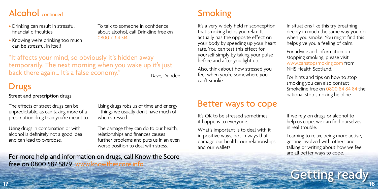### Alcohol continued and the state of the Smoking Smoking

- Drinking can result in stressful financial difficulties
- Knowing we're drinking too much can be stressful in itself

To talk to someone in confidence about alcohol, call Drinkline free on 0800 7 314 314

"It affects your mind, so obviously it's hidden away temporarily. The next morning when you wake up it's just back there again... It's a false economy." Dave, Dundee

### Drugs

#### Street and prescription drugs

unpredictable, as can taking more of a prescription drug than you're meant to.

Using drugs in combination or with alcohol is definitely not a good idea and can lead to overdose.

Using drugs robs us of time and energy - things we usually don't have much of when stressed.

The damage they can do to our health, relationships and finances causes further problems and puts us in an even worse position to deal with stress.

For more help and information on drugs, call Know the Score free on 0800 587 5879 www.knowthescore.info

It's a very widely held misconception that smoking helps you relax. It actually has the opposite effect on your body by speeding up your heart rate. You can test this effect for yourself simply by taking your pulse before and after you light up.

Also, think about how stressed you feel when you're somewhere you can't smoke.

### The effects of street drugs can be  $\Box$  Using drugs robs us of time and energy  $\Box$  Better ways to cope

It's OK to be stressed sometimes – it happens to everyone.

What's important is to deal with it in positive ways, not in ways that damage our health, our relationships and our wallets.

In situations like this try breathing deeply in much the same way you do when you smoke. You might find this helps give you a feeling of calm.

For advice and information on stopping smoking, please visit www.canstopsmoking.com from NHS Health Scotland.

For hints and tips on how to stop smoking you can also contact Smokeline free on 0800 84 84 84 the national stop smoking helpline.

If we rely on drugs or alcohol to help us cope, we can find ourselves in real trouble.

Learning to relax, being more active, getting involved with others and talking or writing about how we feel are all better ways to cope.

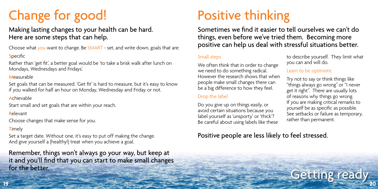## Change for good!

### Making lasting changes to your health can be hard. Here are some steps that can help.

Choose what *you* want to change. Be SMART - set, and write down, goals that are:

#### **Specific**

Rather than 'get fit', a better goal would be 'to take a brisk walk after lunch on Mondays, Wednesdays and Fridays'.

#### **Measurable**

Set goals that can be measured. 'Get fit' is hard to measure, but it's easy to know if you walked for half an hour on Monday, Wednesday and Friday or not.

#### Achievable

Start small and set goals that are within your reach.

Relevant

Choose changes that make sense for you.

#### **Timely**

Set a target date. Without one, it's easy to put off making the change. And give yourself a (healthy!) treat when you achieve a goal.

### Getting ready **<sup>19</sup> <sup>20</sup>** Remember, things won't always go your way, but keep at it and you'll find that you can start to make small changes for the better.

## Positive thinking

Sometimes we find it easier to tell ourselves we can't do things, even before we've tried them. Becoming more positive can help us deal with stressful situations better.

#### Small steps

We often think that in order to change we need to do something radical. However the research shows that when people make small changes there can be a big difference to how they feel.

#### Drop the label

Do you give up on things easily, or avoid certain situations because you label yourself as 'unsporty' or 'thick'? Be careful about using labels like these to describe yourself. They limit what you can and will do.

#### Learn to be optimistic

Try not to say or think things like "things always go wrong" or "I never get it right". There are usually lots of reasons why things go wrong. If you are making critical remarks to yourself be as specific as possible. See setbacks or failure as temporary, rather than permanent.

### Positive people are less likely to feel stressed.

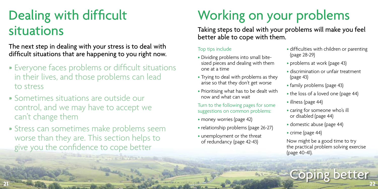## Dealing with difficult situations

The next step in dealing with your stress is to deal with difficult situations that are happening to you right now.

- Everyone faces problems or difficult situations in their lives, and those problems can lead to stress
- Sometimes situations are outside our control, and we may have to accept we can't change them
- Stress can sometimes make problems seem worse than they are. This section helps to give you the confidence to cope better

## Working on your problems

Taking steps to deal with your problems will make you feel better able to cope with them.

#### Top tips include

- Dividing problems into small bitesized pieces and dealing with them one at a time
- Trying to deal with problems as they arise so that they don't get worse
- Prioritising what has to be dealt with now and what can wait

Turn to the following pages for some suggestions on common problems:

- money worries (page 42)
- relationship problems (page 26-27)
- unemployment or the threat of redundancy (page 42-43)
- difficulties with children or parenting (page 28-29)
- problems at work (page 43)
- discrimination or unfair treatment (page 43)
- family problems (page 43)
- the loss of a loved one (page 44)
- illness (page 44)
- caring for someone who's ill or disabled (page 44)
- domestic abuse (page 44)
- crime (page 44)

Now might be a good time to try the practical problem solving exercise (page 40-41).

**Coping better**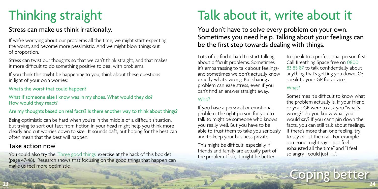## Thinking straight

### Stress can make us think irrationally.

If we're worrying about our problems all the time, we might start expecting<br>the worst, and become more pessimistic. And we might blow things out **be the first step towards dealing with things.** the worst, and become more pessimistic. And we might blow things out of proportion.

Stress can twist our thoughts so that we can't think straight, and that makes it more difficult to do something positive to deal with problems.

If you think this might be happening to you, think about these questions in light of your own worries:

#### What's the worst that could happen?

#### What if someone else I know was in my shoes. What would they do? How would they react?

#### Are my thoughts based on real facts? Is there another way to think about things?

Being optimistic can be hard when you're in the middle of a difficult situation, but trying to sort out fact from fiction in your head might help you think more clearly and cut worries down to size. It sounds daft, but hoping for the best can often mean that the best will happen.

### Take action now

Coping better **<sup>23</sup> <sup>24</sup>** You could also try the 'Three good things' exercise at the back of this booklet (page 47-48). Research shows that focusing on the good things that happen can make us feel more optimistic.

## Talk about it, write about it

You don't have to solve every problem on your own. Sometimes you need help. Talking about your feelings can

Lots of us find it hard to start talking about difficult problems. Sometimes it's embarrassing to talk about feelingsand sometimes we don't actually know exactly what's wrong. But sharing a problem can ease stress, even if you can't find an answer straight away.

#### Who?

If you have a personal or emotional problem, the right person for you to talk to might be someone who knows you really well. But you have to be able to trust them to take you seriously and to keep your business private.

This might be difficult, especially if friends and family are actually part of the problem. If so, it might be better

to speak to a professional person first. Call Breathing Space free on 0800 83 85 87 to talk confidentially about anything that's getting you down. Or speak to your GP for advice.

#### What?

Sometimes it's difficult to know what the problem actually is. If your friend or your GP were to ask you "what's wrong?" do you know what you would say? If you can't pin down the facts, you can still talk about feelings. If there's more than one feeling, try to say or list them all. For example, someone might say "I just feel exhausted all the time" and "I feel so angry I could just.......".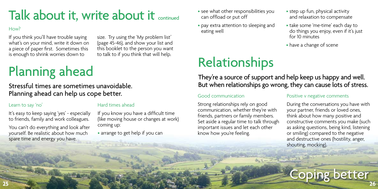### Talk about it, write about it continued

#### How?

If you think you'll have trouble saying what's on your mind, write it down on a piece of paper first. Sometimes this is enough to shrink worries down to

size. Try using the 'My problem list' (page 45-46), and show your list and this booklet to the person you want to talk to if you think that will help.

## Planning ahead

Stressful times are sometimes unavoidable. Planning ahead can help us cope better.

#### Learn to say 'no'

It's easy to keep saying 'yes' - especially to friends, family and work colleagues.

You can't do everything and look after yourself. Be realistic about how much spare time and energy you have.

#### Hard times ahead

If you know you have a difficult time (like moving house or changes at work) coming up:

• arrange to get help if you can

- see what other responsibilities you can offload or put off
- pay extra attention to sleeping and eating well

Relationships

- step up fun, physical activity and relaxation to compensate
- take some 'me-time' each day to do things you enjoy, even if it's just for 10 minutes
- have a change of scene

### They're a source of support and help keep us happy and well. But when relationships go wrong, they can cause lots of stress.

#### Good communication

Strong relationships rely on good communication, whether they're with friends, partners or family members. Set aside a regular time to talk through important issues and let each other know how you're feeling.

#### Positive v negative comments

During the conversations you have with your partner, friends or loved ones, think about how many positive and constructive comments you make (such as asking questions, being kind, listening or smiling) compared to the negative and destructive ones (hostility, anger, shouting, mocking).

**Coping better**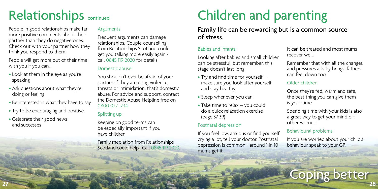## Relationships continued

People in good relationships make far more positive comments about their partner than they do negative ones. Check out with your partner how they think you respond to them.

People will get more out of their time with you if you can…

- Look at them in the eye as you're speaking
- Ask questions about what they're doing or feeling
- Be interested in what they have to say
- Try to be encouraging and positive
- Celebrate their good news and successes

#### Arguments

Frequent arguments can damage relationships. Couple counselling from Relationships Scotland could get you talking more easily again call 0845 119 2020 for details.

#### Domestic abuse

You shouldn't ever be afraid of your partner. If they are using violence, threats or intimidation, that's domestic abuse. For advice and support, contact the Domestic Abuse Helpline free on 0800 027 1234.

#### Splitting up

Keeping on good terms can be especially important if you have children.

Family mediation from Relationships Scotland could help. Call 0845 119 2020.

## Children and parenting

### Family life can be rewarding but is a common source of stress.

#### Babies and infants

Looking after babies and small children can be stressful, but remember, this stage doesn't last long.

- Try and find time for yourself make sure you look after yourself and stay healthy
- Sleep whenever you can
- Take time to relax you could do a quick relaxation exercise (page 37-39)

#### Postnatal depression

If you feel low, anxious or find yourself crying a lot, tell your doctor. Postnatal depression is common - around 1 in 10 mums get it.

It can be treated and most mums recover well.

Remember that with all the changes and pressures a baby brings, fathers can feel down too.

#### Older children

Once they're fed, warm and safe, the best thing you can give them is your time.

Spending time with your kids is also a great way to get your mind off other worries.

#### Behavioural problems

If you are worried about your child's behaviour speak to your GP.

**Coping better**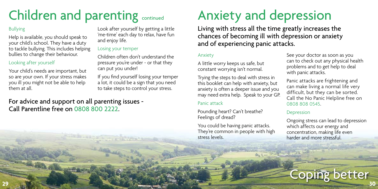## Children and parenting continued

#### Bullying

Help is available, you should speak to your child's school. They have a duty to tackle bullying. This includes helping bullies to change their behaviour.

#### Looking after yourself

Your child's needs are important, but so are your own. If your stress makes you ill you might not be able to help them at all.

Look after yourself by getting a little 'me-time' each day to relax, have fun and enjoy life.

#### Losing your temper

Children often don't understand the pressure you're under - or that they can put you under!

If you find yourself losing your temper a lot, it could be a sign that you need to take steps to control your stress.

### For advice and support on all parenting issues - Call Parentline free on 0808 800 2222.

## Anxiety and depression

Living with stress all the time greatly increases the chances of becoming ill with depression or anxiety and of experiencing panic attacks.

#### Anxiety

A little worry keeps us safe, but constant worrying isn't normal.

Trying the steps to deal with stress in this booklet can help with anxiety, but anxiety is often a deeper issue and you may need extra help. Speak to your GP.

#### Panic attack

Pounding heart? Can't breathe? Feelings of dread?

You could be having panic attacks. They're common in people with high stress levels.

See your doctor as soon as you can to check out any physical health problems and to get help to deal with panic attacks.

Panic attacks are frightening and can make living a normal life very difficult, but they can be sorted. Call the No Panic Helpline free on 0808 808 0545.

#### Depression

Ongoing stress can lead to depression which affects our energy and concentration, making life even harder and more stressful.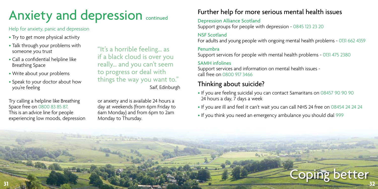## Anxiety and depression continued

#### Help for anxiety, panic and depression

- Try to get more physical activity
- Talk through your problems with someone you trust
- Call a confidential helpline like Breathing Space
- Write about your problems
- Speak to your doctor about how you're feeling

Try calling a helpline like Breathing Space free on 0800 83 85 87. This is an advice line for people experiencing low moods, depression

"It's a horrible feeling… as if a black cloud is over you really… and you can't seem to progress or deal with things the way you want to." Saif, Edinburgh

or anxiety and is available 24 hours a day at weekends (from 6pm Friday to 6am Monday) and from 6pm to 2am Monday to Thursday.

### Further help for more serious mental health issues

#### Depression Alliance Scotland

Support groups for people with depression - 0845 123 23 20

#### NSF Scotland

For adults and young people with ongoing mental health problems - 0131 662 4359

#### Penumbra

Support services for people with mental health problems - 0131 475 2380

#### SAMH infolines

Support services and information on mental health issues call free on 0800 917 3466

### Thinking about suicide?

- If you are feeling suicidal you can contact Samaritans on 08457 90 90 90 24 hours a day, 7 days a week
- If you are ill and feel it can't wait you can call NHS 24 free on 08454 24 24 24
- If you think you need an emergency ambulance you should dial 999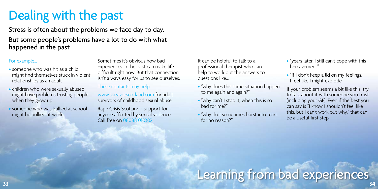## Dealing with the past

Stress is often about the problems we face day to day. But some people's problems have a lot to do with what happened in the past

#### For example…

- someone who was hit as a child might find themselves stuck in violent relationships as an adult
- children who were sexually abused might have problems trusting people when they grow up
- someone who was bullied at school might be bullied at work

Sometimes it's obvious how bad experiences in the past can make life difficult right now. But that connection isn't always easy for us to see ourselves.

#### These contacts may help:

www.survivorscotland.com for adult survivors of childhood sexual abuse.

Rape Crisis Scotland - support for anyone affected by sexual violence. Call free on 08088 010302.

It can be helpful to talk to a professional therapist who can help to work out the answers to questions like…

- "why does this same situation happen to me again and again?"
- "why can't I stop it, when this is so bad for me?"
- "why do I sometimes burst into tears for no reason?"
- "years later, I still can't cope with this bereavement"
- "if I don't keep a lid on my feelings, I feel like I might explode"

If your problem seems a bit like this, try to talk about it with someone you trust (including your GP). Even if the best you can say is "I know I shouldn't feel like this, but I can't work out why," that can be a useful first step.

# Learning from bad experiences **<sup>33</sup> <sup>34</sup>**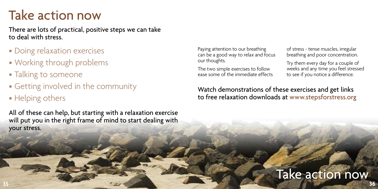### Take action now

There are lots of practical, positive steps we can take to deal with stress.

- Doing relaxation exercises
- Working through problems
- Talking to someone
- Getting involved in the community
- Helping others

All of these can help, but starting with a relaxation exercise will put you in the right frame of mind to start dealing with your stress.

Paying attention to our breathing can be a good way to relax and focus our thoughts.

The two simple exercises to follow ease some of the immediate effects

of stress - tense muscles, irregular breathing and poor concentration.

Try them every day for a couple of weeks and any time you feel stressed to see if you notice a difference.

Watch demonstrations of these exercises and get links to free relaxation downloads at www.stepsforstress.org

### Take action now **35 36**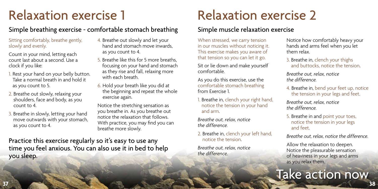### Relaxation exercise 1

### Simple breathing exercise - comfortable stomach breathing

Sitting comfortably, breathe gently, slowly and evenly.

Count in your mind, letting each count last about a second. Use a clock if you like:

- 1. Rest your hand on your belly button. Take a normal breath in and hold it as you count to 5.
- 2. Breathe out slowly, relaxing your shoulders, face and body, as you count to 4.
- 3. Breathe in slowly, letting your hand move outwards with your stomach, as you count to 4.
- 4. Breathe out slowly and let your hand and stomach move inwards, as you count to 4.
- 5. Breathe like this for 5 more breaths, focusing on your hand and stomach as they rise and fall, relaxing more with each breath.
- 6. Hold your breath like you did at the beginning and repeat the whole exercise again.

Notice the stretching sensation as you breathe in. As you breathe out notice the relaxation that follows. With practice, you may find you can breathe more slowly.

Practice this exercise regularly so it's easy to use any time you feel anxious. You can also use it in bed to help you sleep.

### Relaxation exercise 2

### Simple muscle relaxation exercise

When stressed, we carry tension in our muscles without noticing it. This exercise makes you aware of that tension so you can let it go.

Sit or lie down and make yourself comfortable.

As you do this exercise, use the comfortable stomach breathing from Exercise 1.

1. Breathe in, clench your right hand, notice the tension in your hand and arm.

*Breathe out, relax, notice the difference.*

2. Breathe in, clench your left hand, notice the tension.

*Breathe out, relax, notice the difference.*

Notice how comfortably heavy your hands and arms feel when you let them relax.

3. Breathe in, clench your thighs and buttocks, notice the tension.

*Breathe out, relax, notice the difference.* 

4. Breathe in, bend your feet up, notice the tension in your legs and feet.

*Breathe out, relax, notice the difference.* 

5. Breathe in and point your toes, notice the tension in your legs and feet.

*Breathe out, relax, notice the difference.* 

Allow the relaxation to deepen. Notice the pleasurable sensation of heaviness in your legs and arms as you relax them.

### Take action now **37 38**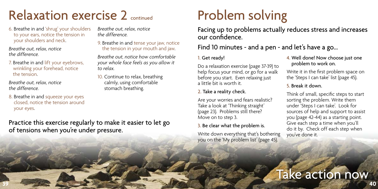### Relaxation exercise 2 continued

6. Breathe in and 'shrug' your shoulders to your ears, notice the tension in your shoulders and neck.

*Breathe out, relax, notice the difference.* 

7. Breathe in and lift your eyebrows, wrinkling your forehead, notice the tension.

*Breathe out, relax, notice the difference.* 

8. Breathe in and squeeze your eyes closed, notice the tension around your eyes.

*Breathe out, relax, notice the difference.* 

9. Breathe in and tense your jaw, notice the tension in your mouth and jaw.

*Breathe out, notice how comfortable your whole face feels as you allow it to relax.*

10. Continue to relax, breathing calmly, using comfortable stomach breathing.

Practice this exercise regularly to make it easier to let go of tensions when you're under pressure.

## Problem solving

Facing up to problems actually reduces stress and increases our confidence.

### Find 10 minutes - and a pen - and let's have a go...

#### 1. Get ready!

Do a relaxation exercise (page 37-39) to help focus your mind, or go for a walk before you start. Even relaxing just a little bit is worth it.

#### 2. Take a reality check.

Are your worries and fears realistic? Take a look at 'Thinking straight' (page 23). Problems still there? Move on to step 3.

#### 3. Be clear what the problem is.

Write down everything that's bothering you on the 'My problem list' (page 45).

4. Well done! Now choose just one problem to work on.

Write it in the first problem space on the 'Steps I can take' list (page 45).

#### 5. Break it down.

Think of small, specific steps to start sorting the problem. Write them under 'Steps I can take'. Look for sources of help and support to assist you (page 42-44) as a starting point. Give each step a time when you'll do it by. Check off each step when you've done it.

### Take action now **39 40**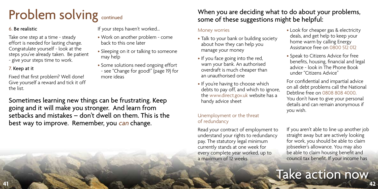## Problem solving continued

#### 6. Be realistic

Take one step at a time - steady effort is needed for lasting change. Congratulate yourself - look at the steps you've already taken. Be patient - give your steps time to work.

#### 7. Keep at it

Fixed that first problem? Well done! Give yourself a reward and tick it off the list.

If your steps haven't worked...

- Work on another problem come back to this one later
- Sleeping on it or talking to someone may help
- Some solutions need ongoing effort - see "Change for good!" (page 19) for more ideas

Sometimes learning new things can be frustrating. Keep going and it will make you stronger. And learn from setbacks and mistakes – don't dwell on them. This is the best way to improve. Remember, you can change.

### When you are deciding what to do about your problems, some of these suggestions might be helpful:

#### Money worries

- Talk to your bank or building society about how they can help you manage your money
- If you face going into the red, warn your bank. An authorised overdraft is much cheaper than an unauthorised one
- If you're having to choose which debts to pay off, and which to ignore, the www.direct.gov.uk website has a handy advice sheet

#### Unemployment or the threat of redundancy

Read your contract of employment to understand your rights to redundancy pay. The statutory legal minimum currently stands at one week for every complete year worked, up to a maximum of 12 weeks.

- Look for cheaper gas & electricity deals, and get help to keep your home warm by calling Energy Assistance free on 0800 512 012
- Speak to Citizens Advice for free benefits, housing, financial and legal advice - look in The Phone Book under "Citizens Advice"

For confidential and impartial advice on all debt problems call the National Debtline free on 0808 808 4000. You don't have to give your personal details and can remain anonymous if you wish.

If you aren't able to line up another job straight away but are actively looking for work, you should be able to claim jobseeker's allowance. You may also be able to claim housing benefit and council tax benefit. If your income has

### Take action now **41 42**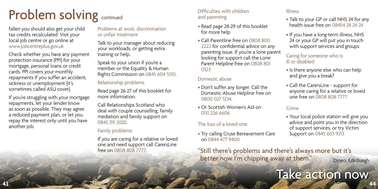## Problem solving continued

fallen you should also get your child tax credits recalculated. Visit your local job centre or go online at www.jobcentreplus.gov.uk

Check whether you have any payment protection insurance (PPI) for your mortgage, personal loans or credit cards. PPI covers your monthly repayments if you suffer an accident, sickness or unemployment (it's sometimes called ASU cover).

If you're struggling with your mortgage repayments, let your lender know as soon as possible. They may agree a reduced payment plan, or let you repay the interest only until you have another job.

Problems at work, discrimination or unfair treatment

Talk to your manager about reducing your workloads, or getting extra training or help.

Speak to your union if you're a member or the Equality & Human Rights Commission on 0845 604 5510.

#### Relationship problems

Read page 26-27 of this booklet for more information.

Call Relationships Scotland who deal with couple counselling, family mediation and family support on 0845 119 2020.

#### Family problems

If you are caring for a relative or loved one and need support call CarersLine free on 0808 808 7777.

#### Difficulties with children and parenting

- Read page 28-29 of this booklet for more help
- Call Parentline free on 0808 800 2222 for confidential advice on any parenting issue. If you're a lone parent looking for support call the Lone Parent Helpline free on 0808 801 0323

#### Domestic abuse

- Don't suffer any longer. Call the Domestic Abuse Helpline free on 0800 027 1234.
- Or Scottish Women's Aid on 0131 226 6606

#### The loss of a loved one

• Try calling Cruse Bereavement Care on 0844 477 9400

"Still there's problems and there's always more but it's better now I'm chipping away at them." Dineo, Edinburgh

#### Illness

- Talk to your GP or call NHS 24 for any health issue free on 08454 24 24 24
- If you have a long-term illness, NHS 24 or your GP will put you in touch with support services and groups

#### Caring for someone who is ill or disabled

- Is there anyone else who can help and give you a break?
- Call the CarersLine support for anyone caring for a relative or loved one free on 0808 808 7777

#### Crime

• Your local police station will give you advice and point you in the direction of support services, or try Victim Support on 0845 603 9213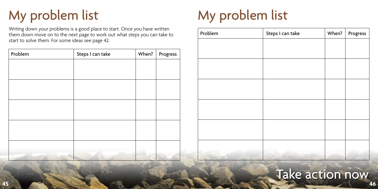## My problem list

Writing down your problems is a good place to start. Once you have written them down move on to the next page to work out what steps you can take to start to solve them. For some ideas see page 42.

| Problem | Steps I can take | When? | Progress |
|---------|------------------|-------|----------|
|         |                  |       |          |
|         |                  |       |          |
|         |                  |       |          |
|         |                  |       |          |
|         |                  |       |          |
|         |                  |       |          |
|         |                  |       |          |
|         |                  |       |          |
|         |                  |       |          |
|         |                  |       |          |

## My problem list

| Problem | Steps I can take | When? | Progress |
|---------|------------------|-------|----------|
|         |                  |       |          |
|         |                  |       |          |
|         |                  |       |          |
|         |                  |       |          |
|         |                  |       |          |
|         |                  |       |          |
|         |                  |       |          |
|         |                  |       |          |
|         |                  |       |          |
|         |                  |       |          |
|         |                  |       |          |
|         |                  |       |          |

### Take action now **45 46**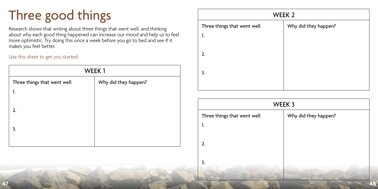## Three good things

Research shows that writing about three things that went well, and thinking about why each good thing happened can increase our mood and help us to feel more optimistic. Try doing this once a week before you go to bed and see if it makes you feel better.

Use this sheet to get you started:

| WEEK1                       |                      |  |  |
|-----------------------------|----------------------|--|--|
| Three things that went well | Why did they happen? |  |  |
| 1.                          |                      |  |  |
|                             |                      |  |  |
| 2.                          |                      |  |  |
| 3.                          |                      |  |  |
|                             |                      |  |  |
|                             |                      |  |  |

| WEEK 2                      |                      |  |
|-----------------------------|----------------------|--|
| Three things that went well | Why did they happen? |  |
| 1.                          |                      |  |
|                             |                      |  |
| 2.                          |                      |  |
| 3.                          |                      |  |
|                             |                      |  |
|                             |                      |  |

|    |  |  | WEEK 3                      |                      |  |
|----|--|--|-----------------------------|----------------------|--|
| z. |  |  | Three things that went well | Why did they happen? |  |
| 3. |  |  | п.                          |                      |  |
|    |  |  | 2.                          |                      |  |
|    |  |  |                             |                      |  |
|    |  |  |                             |                      |  |
| 47 |  |  |                             | 48                   |  |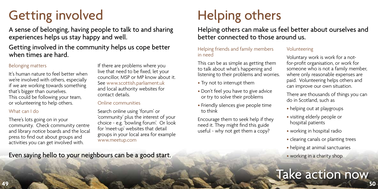## Getting involved

A sense of belonging, having people to talk to and sharing experiences helps us stay happy and well.

### Getting involved in the community helps us cope better when times are hard.

#### Belonging matters

It's human nature to feel better when we're involved with others, especially if we are working towards something that's bigger than ourselves. This could be following your team, or volunteering to help others.

#### What can I do

There's lots going on in your community. Check community centre and library notice boards and the local press to find out about groups and activities you can get involved with.

If there are problems where you live that need to be fixed, let your councillor, MSP or MP know about it. See www.scottish.parliament.uk and local authority websites for contact details.

#### Online communities

Search online using 'forum' or 'community' plus the interest of your choice - e.g. 'bowling forum'. Or look for 'meet-up' websites that detail groups in your local area for example www.meetup.com

## Helping others

Helping others can make us feel better about ourselves and better connected to those around us.

#### Helping friends and family members in need

This can be as simple as getting them to talk about what's happening and listening to their problems and worries.

- Try not to interrupt them
- Don't feel you have to give advice or try to solve their problems
- Friendly silences give people time to think

Encourage them to seek help if they need it. They might find this guide useful - why not get them a copy?

#### Volunteering

Voluntary work is work for a notfor-profit organisation, or work for someone who is not a family member, where only reasonable expenses are paid. Volunteering helps others and can improve our own situation.

There are thousands of things you can do in Scotland, such as

- helping out at playgroups
- visiting elderly people or hospital patients
- working in hospital radio
- clearing canals or planting trees
- helping at animal sanctuaries
- working in a charity shop

### **49 50** Take action now

Even saying hello to your neighbours can be a good start.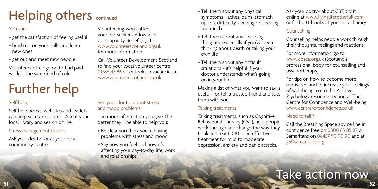## Helping others continued

#### You can:

- get the satisfaction of feeling useful
- brush up on your skills and learn new ones
- get out and meet new people

Volunteers often go on to find paid work in the same kind of role.

## Further help

### Self-help

Self-help books, websites and leaflets can help you take control. Ask at your local library and search online.

#### Stress management classes

Ask your doctor or at your local community centre.

Volunteering won't affect your Job Seeker's Allowance or Incapacity Benefit, go to www.volunteerscotland.org.uk for more information.

Call Volunteer Development Scotland to find your local volunteer centre - 01786 479593 - or look up vacancies at www.volunteerscotland.org.uk

#### See your doctor about stress and mood problems

The more information you give, the better they'll be able to help you:

- Be clear you think you're having problems with stress and mood
- Say how you feel and how it's affecting your day-to-day life, work and relationships
- Tell them about any physical symptoms - aches, pains, stomach upsets, difficulty sleeping or sleeping too much
- Tell them about any troubling thoughts, especially if you've been thinking about death or taking your own life
- Tell them about any difficult situations - it's helpful if your doctor understands what's going on in your life

Making a list of what you want to say is useful - or tell a trusted friend and take them with you.

#### Talking treatments

Talking treatments, such as Cognitive Behavioural Therapy (CBT), help people work through and change the way they think and react. CBT is an effective treatment for mild to moderate depression, anxiety and panic attacks.

Ask your doctor about CBT, try it online at www.livinglifetothefull.com or find CBT books at your local library.

#### Counselling

Counselling helps people work through their thoughts, feelings and reactions.

For more information, go to www.cosca.org.uk (Scotland's professional body for counselling and psychotherapy).

For tips on how to become more motivated and to increase your feelings of well-being, go to the Positive Psychology resource section at The Centre for Confidence and Well-being www.centreforconfidence.co.uk

#### Need to talk?

Call the Breathing Space advice line in confidence free on 0800 83 85 87 or Samaritans on 08457 90 90 90 and at jo@samaritans.org

### Take action now **51 52**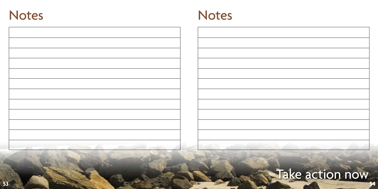

| and the control of the control                                              |  |
|-----------------------------------------------------------------------------|--|
| the property of the control of the control of the control of the control of |  |

## **Take action now**